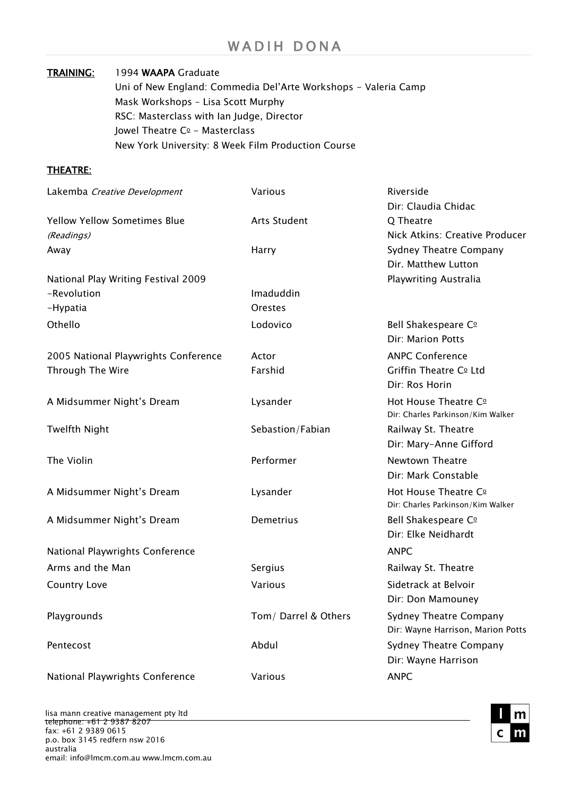### TRAINING: 1994 WAAPA Graduate

Uni of New England: Commedia Del'Arte Workshops - Valeria Camp Mask Workshops – Lisa Scott Murphy RSC: Masterclass with Ian Judge, Director Jowel Theatre  $C<sup>0</sup>$  - Masterclass New York University: 8 Week Film Production Course

## THEATRE:

| Lakemba Creative Development         | Various              | Riverside                         |
|--------------------------------------|----------------------|-----------------------------------|
|                                      |                      | Dir: Claudia Chidac               |
| <b>Yellow Yellow Sometimes Blue</b>  | <b>Arts Student</b>  | Q Theatre                         |
| (Readings)                           |                      | Nick Atkins: Creative Producer    |
| Away                                 | Harry                | Sydney Theatre Company            |
|                                      |                      | Dir. Matthew Lutton               |
| National Play Writing Festival 2009  |                      | Playwriting Australia             |
| -Revolution                          | Imaduddin            |                                   |
| -Hypatia                             | <b>Orestes</b>       |                                   |
| Othello                              | Lodovico             | Bell Shakespeare C <sup>o</sup>   |
|                                      |                      | Dir: Marion Potts                 |
| 2005 National Playwrights Conference | Actor                | <b>ANPC Conference</b>            |
| Through The Wire                     | Farshid              | Griffin Theatre Co Ltd            |
|                                      |                      | Dir: Ros Horin                    |
| A Midsummer Night's Dream            | Lysander             | Hot House Theatre Co              |
|                                      |                      | Dir: Charles Parkinson/Kim Walker |
| <b>Twelfth Night</b>                 | Sebastion/Fabian     | Railway St. Theatre               |
|                                      |                      | Dir: Mary-Anne Gifford            |
| The Violin                           | Performer            | Newtown Theatre                   |
|                                      |                      | Dir: Mark Constable               |
| A Midsummer Night's Dream            | Lysander             | Hot House Theatre Co              |
|                                      |                      | Dir: Charles Parkinson/Kim Walker |
| A Midsummer Night's Dream            | Demetrius            | Bell Shakespeare C <sup>o</sup>   |
|                                      |                      | Dir: Elke Neidhardt               |
| National Playwrights Conference      |                      | <b>ANPC</b>                       |
| Arms and the Man                     | Sergius              | Railway St. Theatre               |
| <b>Country Love</b>                  | Various              | Sidetrack at Belvoir              |
|                                      |                      | Dir: Don Mamouney                 |
| Playgrounds                          | Tom/ Darrel & Others | Sydney Theatre Company            |
|                                      |                      | Dir: Wayne Harrison, Marion Potts |
| Pentecost                            | Abdul                | <b>Sydney Theatre Company</b>     |
|                                      |                      | Dir: Wayne Harrison               |
| National Playwrights Conference      | Various              | <b>ANPC</b>                       |
|                                      |                      |                                   |

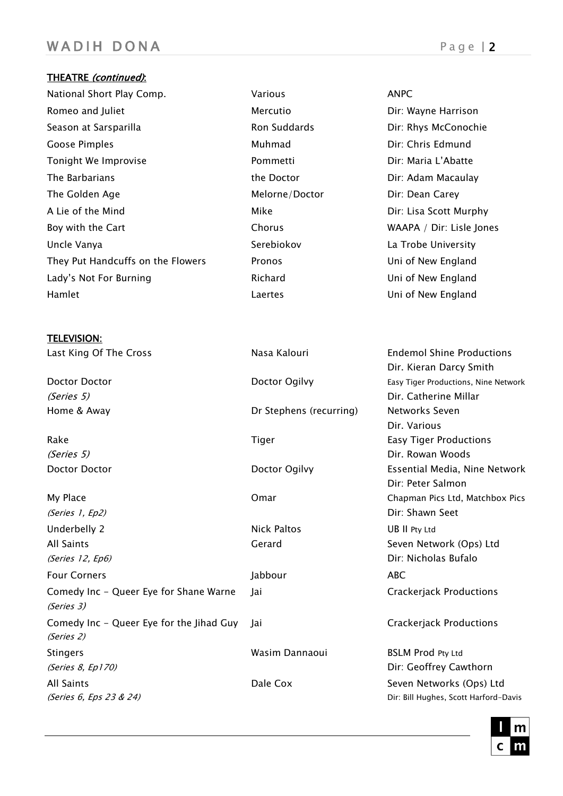## WAD I H DONA Page | 2

## THEATRE (continued):

TELEVISION:

National Short Play Comp. Various ANPC Hamlet Laertes Uni of New England

# Romeo and Juliet **Mercutio** Mercutio **Mercutio** Dir: Wayne Harrison Season at Sarsparilla **Ron Suddards** Ron Suddards Dir: Rhys McConochie Goose Pimples **Coose Pimples** Coose Pimples **Coose Pimples Dir: Chris Edmund** Tonight We Improvise The Commetti Controller Controller Enter the Controller Pommetti Dir: Maria L'Abatte The Barbarians The Doctor The Doctor The Barbarians and Diricular Adam Macaulay The Golden Age The Golden Age Melorne/Doctor The Golden Age Unit Carey A Lie of the Mind **All and Accord Mike** Mike **Dir: Lisa Scott Murphy** Boy with the Cart **Chorus** Chorus Chorus WAAPA / Dir: Lisle Jones Uncle Vanya Narrow Christopher Serebiokov Narrow La Trobe University They Put Handcuffs on the Flowers Pronos Uni of New England Lady's Not For Burning The Richard Charles Control Uni of New England

Last King Of The Cross **Nasa Kalouri Endemol Shine Productions** Dir. Kieran Darcy Smith Doctor Doctor Doctor Ogilvy Easy Tiger Productions, Nine Network (Series 5) Dir. Catherine Millar Home & Away Dr Stephens (recurring) Networks Seven Dir. Various Rake Tiger Tiger Easy Tiger Easy Tiger Productions (Series 5) Dir. Rowan Woods Doctor Doctor Doctor Ogilvy Essential Media, Nine Network Dir: Peter Salmon My Place Omar Chapman Pics Ltd, Matchbox Pics (Series 1, Ep2) Dir: Shawn Seet Underbelly 2 Nick Paltos UB II Pty Ltd All Saints Gerard Seven Network (Ops) Ltd (Series 12, Ep6) Dir: Nicholas Bufalo Four Corners **Community** Corners **ABC** Comedy Inc - Queer Eye for Shane Warne Jai Crackerjack Productions (Series 3) Comedy Inc - Queer Eye for the Jihad Guy Jai Crackerjack Productions (Series 2) Stingers **Stingers BSLM** Prod Pty Ltd (Series 8, Ep170) Contract Contract Contract Contract Contract Contract Contract Contract Contract Contract Contract Contract Contract Contract Contract Contract Contract Contract Contract Contract Contract Contract Contra All Saints **Dale Cox** Seven Networks (Ops) Ltd (Series 6, Eps 23 & 24) Dir: Bill Hughes, Scott Harford-Davis

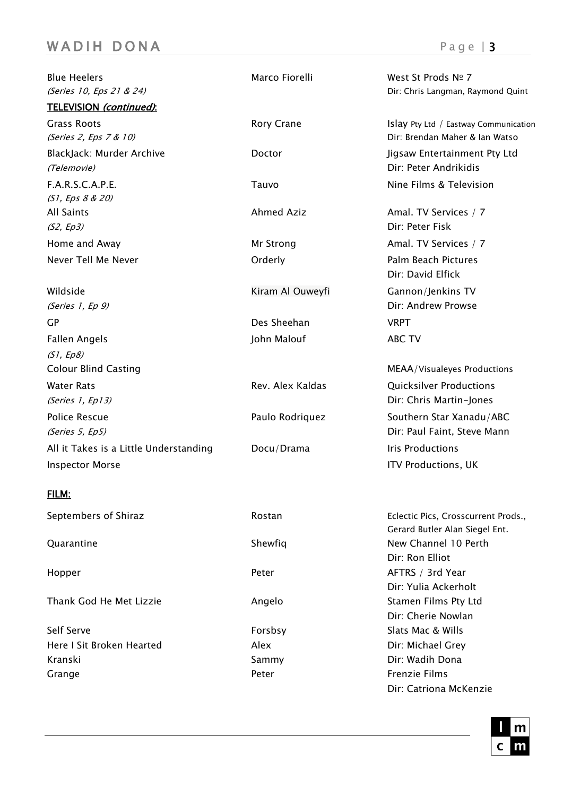## WAD I H DONA Page | 3

Blue Heelers **Marco Fiorelli** Marco Fiorelli West St Prods No 7 (Series 10, Eps 21 & 24) Contract Contract Contract Contract Contract Contract Contract Contract Contract Contract Contract Contract Contract Contract Contract Contract Contract Contract Contract Contract Contract Contract TELEVISION (continued): Grass Roots **Roots Roots** Root Crane Islay Pty Ltd / Eastway Communication (Series 2, Eps 7 & 10) Dir: Brendan Maher & Ian Watso BlackJack: Murder Archive **Doctor** Doctor Jigsaw Entertainment Pty Ltd (Telemovie) Dir: Peter Andrikidis F.A.R.S.C.A.P.E. Tauvo Nine Films & Television (S1, Eps 8 & 20) All Saints **Ahmed Aziz** Ahmed Aziz **Amal. TV Services** / 7 (S2, Ep3) Dir: Peter Fisk Home and Away **Mr Strong** Mr Strong Amal. TV Services / 7 Never Tell Me Never **New Strategier Contact Contact Contact Pictures** Palm Beach Pictures Wildside **Kiram Al Ouweyfi** Gannon/Jenkins TV (Series 1, Ep 9) Dir: Andrew Prowse GP Des Sheehan VRPT Fallen Angels **ABC TV CONSIDERING ABC TV** (S1, Ep8) Colour Blind Casting MEAA /Visualeyes Productions Water Rats **Rev. Alex Kaldas** Conservativer Productions Conservations Conservations Conservations (Series 1, Ep13) Dir: Chris Martin-Jones Police Rescue **Paulo Rodriquez** Southern Star Xanadu/ABC (Series 5, Ep5) Dir: Paul Faint, Steve Mann All it Takes is a Little Understanding Docu/Drama Tris Productions Inspector Morse ITV Productions, UK FILM: Septembers of Shiraz **Rostan Eclectic Pics, Crosscurrent Prods.**,

Thank God He Met Lizzie **Angelo** Angelo Stamen Films Pty Ltd

Self Serve **Subsetsion Slats Mac & Wills** Slats Mac & Wills Here I Sit Broken Hearted Alex Dir: Michael Grey Kranski Sammy Dir: Wadih Dona Grange **Constanting Constanting Peter** Peter **Frenzie Films** 

Dir: David Elfick

Gerard Butler Alan Siegel Ent. Quarantine Contract Contract Contract Contract Contract Contract Contract Contract Contract Contract Contract Contract Contract Contract Contract Contract Contract Contract Contract Contract Contract Contract Contract Cont Dir: Ron Elliot Hopper Peter Peter AFTRS / 3rd Year Dir: Yulia Ackerholt Dir: Cherie Nowlan Dir: Catriona McKenzie